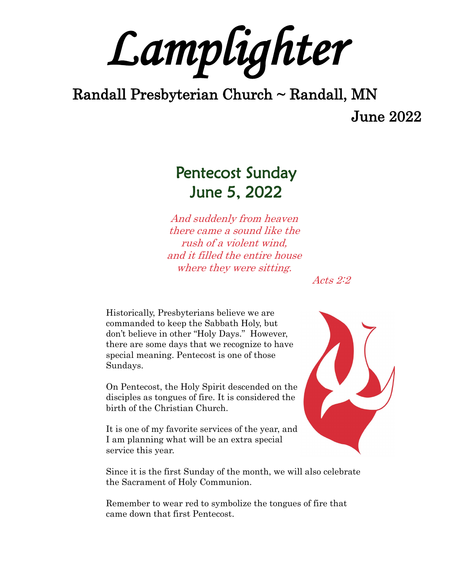*Lamplighter* 

# Randall Presbyterian Church ~ Randall, MN

June 2022

# Pentecost Sunday June 5, 2022

And suddenly from heaven there came a sound like the rush of a violent wind, and it filled the entire house where they were sitting.

Acts 2:2

Historically, Presbyterians believe we are commanded to keep the Sabbath Holy, but don't believe in other "Holy Days." However, there are some days that we recognize to have special meaning. Pentecost is one of those Sundays.

On Pentecost, the Holy Spirit descended on the disciples as tongues of fire. It is considered the birth of the Christian Church.

It is one of my favorite services of the year, and I am planning what will be an extra special service this year.

Since it is the first Sunday of the month, we will also celebrate the Sacrament of Holy Communion.

Remember to wear red to symbolize the tongues of fire that came down that first Pentecost.

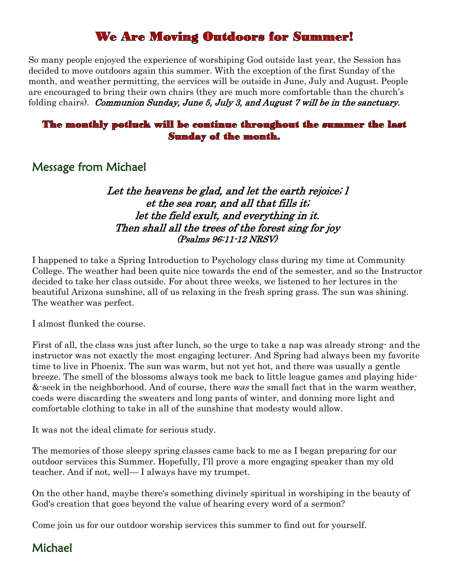## **We Are Moving Outdoors for Summer!**

So many people enjoyed the experience of worshiping God outside last year, the Session has decided to move outdoors again this summer. With the exception of the first Sunday of the month, and weather permitting, the services will be outside in June, July and August. People are encouraged to bring their own chairs (they are much more comfortable than the church's folding chairs). Communion Sunday, June 5, July 3, and August 7 will be in the sanctuary.

#### The monthly potluck will be continue throughout the summer the last **Sunday of the month.**

### Message from Michael

#### Let the heavens be glad, and let the earth rejoice; l et the sea roar, and all that fills it; let the field exult, and everything in it. Then shall all the trees of the forest sing for joy (Psalms 96:11-12 NRSV)

I happened to take a Spring Introduction to Psychology class during my time at Community College. The weather had been quite nice towards the end of the semester, and so the Instructor decided to take her class outside. For about three weeks, we listened to her lectures in the beautiful Arizona sunshine, all of us relaxing in the fresh spring grass. The sun was shining. The weather was perfect.

I almost flunked the course.

First of all, the class was just after lunch, so the urge to take a nap was already strong- and the instructor was not exactly the most engaging lecturer. And Spring had always been my favorite time to live in Phoenix. The sun was warm, but not yet hot, and there was usually a gentle breeze. The smell of the blossoms always took me back to little league games and playing hide- &-seek in the neighborhood. And of course, there was the small fact that in the warm weather, coeds were discarding the sweaters and long pants of winter, and donning more light and comfortable clothing to take in all of the sunshine that modesty would allow.

It was not the ideal climate for serious study.

The memories of those sleepy spring classes came back to me as I began preparing for our outdoor services this Summer. Hopefully, I'll prove a more engaging speaker than my old teacher. And if not, well— I always have my trumpet.

On the other hand, maybe there's something divinely spiritual in worshiping in the beauty of God's creation that goes beyond the value of hearing every word of a sermon?

Come join us for our outdoor worship services this summer to find out for yourself.

### Michael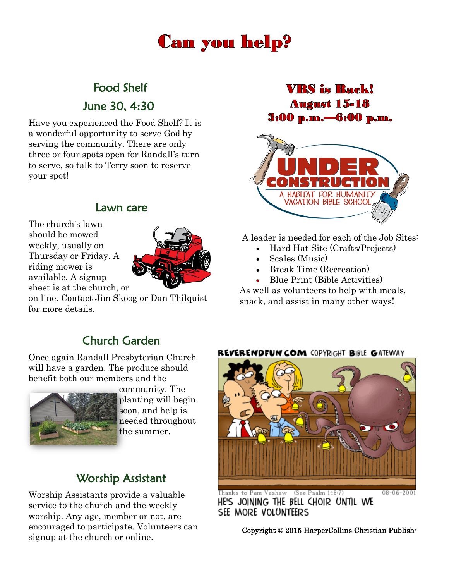# **Can you help?**

# Food Shelf

June 30, 4:30

Have you experienced the Food Shelf? It is a wonderful opportunity to serve God by serving the community. There are only three or four spots open for Randall's turn to serve, so talk to Terry soon to reserve your spot!

### Lawn care

The church's lawn should be mowed weekly, usually on Thursday or Friday. A riding mower is available. A signup sheet is at the church, or



on line. Contact Jim Skoog or Dan Thilquist for more details.

### **VRS** is **Back! August 15-18** 3:00 p.m.-6:00 p.m.



A leader is needed for each of the Job Sites:

- Hard Hat Site (Crafts/Projects)
- Scales (Music)
- Break Time (Recreation)
- Blue Print (Bible Activities)

As well as volunteers to help with meals, snack, and assist in many other ways!

## Church Garden

Once again Randall Presbyterian Church will have a garden. The produce should benefit both our members and the



community. The planting will begin soon, and help is needed throughout the summer.

## Worship Assistant

Worship Assistants provide a valuable service to the church and the weekly worship. Any age, member or not, are encouraged to participate. Volunteers can signup at the church or online.

#### REVERENDFUN.COM <OPYRIGHT BIBLE GATEWAY



HE'S JOINING THE BELL CHOIR UNTIL WE SEE MORE VOLUNTEERS

Copyright © 2015 HarperCollins Christian Publish-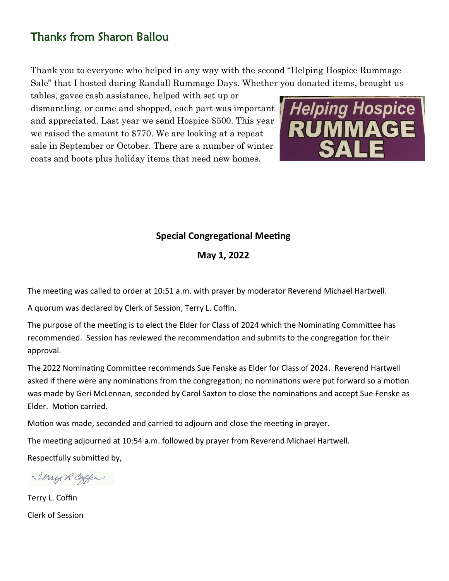## Thanks from Sharon Ballou

Thank you to everyone who helped in any way with the second "Helping Hospice Rummage Sale" that I hosted during Randall Rummage Days. Whether you donated items, brought us

tables, gavee cash assistance, helped with set up or dismantling, or came and shopped, each part was important and appreciated. Last year we send Hospice \$500. This year we raised the amount to \$770. We are looking at a repeat sale in September or October. There are a number of winter coats and boots plus holiday items that need new homes.



### **Special Congregational Meeting**

**May 1, 2022**

The meeting was called to order at 10:51 a.m. with prayer by moderator Reverend Michael Hartwell.

A quorum was declared by Clerk of Session, Terry L. Coffin.

The purpose of the meeting is to elect the Elder for Class of 2024 which the Nominating Committee has recommended. Session has reviewed the recommendation and submits to the congregation for their approval.

The 2022 Nominating Committee recommends Sue Fenske as Elder for Class of 2024. Reverend Hartwell asked if there were any nominations from the congregation; no nominations were put forward so a motion was made by Geri McLennan, seconded by Carol Saxton to close the nominations and accept Sue Fenske as Elder. Motion carried.

Motion was made, seconded and carried to adjourn and close the meeting in prayer.

The meeting adjourned at 10:54 a.m. followed by prayer from Reverend Michael Hartwell.

Respectfully submitted by,

Terry L Coffin

Terry L. Coffin Clerk of Session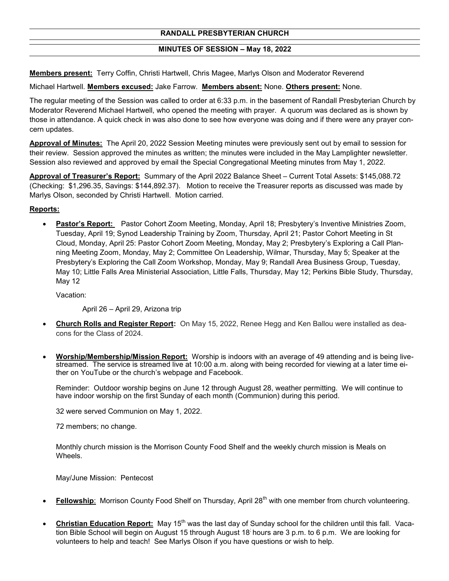#### **RANDALL PRESBYTERIAN CHURCH**

#### **MINUTES OF SESSION – May 18, 2022**

**Members present:** Terry Coffin, Christi Hartwell, Chris Magee, Marlys Olson and Moderator Reverend

Michael Hartwell. **Members excused:** Jake Farrow. **Members absent:** None. **Others present:** None.

The regular meeting of the Session was called to order at 6:33 p.m. in the basement of Randall Presbyterian Church by Moderator Reverend Michael Hartwell, who opened the meeting with prayer. A quorum was declared as is shown by those in attendance. A quick check in was also done to see how everyone was doing and if there were any prayer concern updates.

**Approval of Minutes:** The April 20, 2022 Session Meeting minutes were previously sent out by email to session for their review. Session approved the minutes as written; the minutes were included in the May Lamplighter newsletter. Session also reviewed and approved by email the Special Congregational Meeting minutes from May 1, 2022.

**Approval of Treasurer's Report:** Summary of the April 2022 Balance Sheet – Current Total Assets: \$145,088.72 (Checking: \$1,296.35, Savings: \$144,892.37). Motion to receive the Treasurer reports as discussed was made by Marlys Olson, seconded by Christi Hartwell. Motion carried.

#### **Reports:**

• **Pastor's Report:** Pastor Cohort Zoom Meeting, Monday, April 18; Presbytery's Inventive Ministries Zoom, Tuesday, April 19; Synod Leadership Training by Zoom, Thursday, April 21; Pastor Cohort Meeting in St Cloud, Monday, April 25: Pastor Cohort Zoom Meeting, Monday, May 2; Presbytery's Exploring a Call Planning Meeting Zoom, Monday, May 2; Committee On Leadership, Wilmar, Thursday, May 5; Speaker at the Presbytery's Exploring the Call Zoom Workshop, Monday, May 9; Randall Area Business Group, Tuesday, May 10; Little Falls Area Ministerial Association, Little Falls, Thursday, May 12; Perkins Bible Study, Thursday, May 12

Vacation:

April 26 – April 29, Arizona trip

- **Church Rolls and Register Report:** On May 15, 2022, Renee Hegg and Ken Ballou were installed as deacons for the Class of 2024.
- **Worship/Membership/Mission Report:** Worship is indoors with an average of 49 attending and is being livestreamed. The service is streamed live at 10:00 a.m. along with being recorded for viewing at a later time either on YouTube or the church's webpage and Facebook.

Reminder: Outdoor worship begins on June 12 through August 28, weather permitting. We will continue to have indoor worship on the first Sunday of each month (Communion) during this period.

32 were served Communion on May 1, 2022.

72 members; no change.

Monthly church mission is the Morrison County Food Shelf and the weekly church mission is Meals on Wheels.

May/June Mission: Pentecost

- **Fellowship**: Morrison County Food Shelf on Thursday, April 28<sup>th</sup> with one member from church volunteering.
- Christian Education Report: May 15<sup>th</sup> was the last day of Sunday school for the children until this fall. Vacation Bible School will begin on August 15 through August 18; hours are 3 p.m. to 6 p.m. We are looking for volunteers to help and teach! See Marlys Olson if you have questions or wish to help.